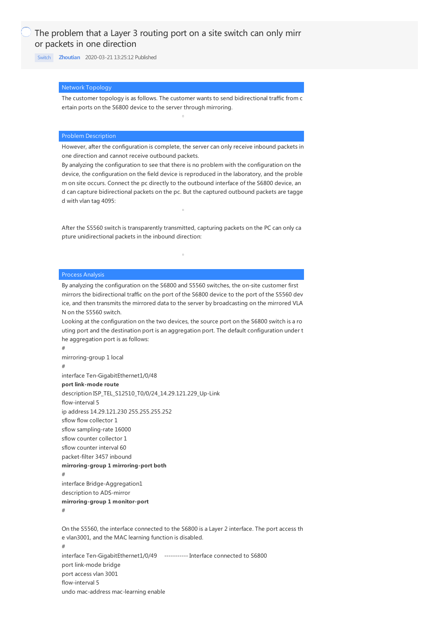[Switch](https://knowledge.h3c.com/questions/catesDis/1531) **[Zhoutian](https://knowledge.h3c.com/user/other/24)** 2020-03-21 13:25:12 Published

# Network Topology

The customer topology is as follows. The customer wants to send bidirectional traffic from c ertain ports on the S6800 device to the server through mirroring.

## Problem Description

However, after the configuration is complete, the server can only receive inbound packets in one direction and cannot receive outbound packets.

By analyzing the configuration to see that there is no problem with the configuration on the device, the configuration on the field device is reproduced in the laboratory, and the proble m on site occurs. Connect the pc directly to the outbound interface of the S6800 device, an d can capture bidirectional packets on the pc. But the captured outbound packets are tagge d with vlan tag 4095:

After the S5560 switch is transparently transmitted, capturing packets on the PC can only ca pture unidirectional packets in the inbound direction:

#### Process Analysis

#

By analyzing the configuration on the S6800 and S5560 switches, the on-site customer first mirrors the bidirectional traffic on the port of the S6800 device to the port of the S5560 dev ice, and then transmits the mirrored data to the server by broadcasting on the mirrored VLA N on the S5560 switch.

Looking at the configuration on the two devices, the source port on the S6800 switch is a ro uting port and the destination port is an aggregation port. The default configuration under t he aggregation port is as follows:

mirroring-group 1 local # interface Ten-GigabitEthernet1/0/48 **port link-mode route** description ISP\_TEL\_S12510\_T0/0/24\_14.29.121.229\_Up-Link flow-interval 5 ip address 14.29.121.230 255.255.255.252 sflow flow collector 1 sflow sampling-rate 16000 sflow counter collector 1 sflow counter interval 60 packet-filter 3457 inbound **mirroring-group 1 mirroring-port both** # interface Bridge-Aggregation1 description to ADS-mirror **mirroring-group 1 monitor-port** #

On the S5560, the interface connected to the S6800 is a Layer 2 interface. The port access th e vlan3001, and the MAC learning function is disabled. # interface Ten-GigabitEthernet1/0/49 ----------- Interface connected to S6800 port link-mode bridge port access vlan 3001 flow-interval 5 undo mac-address mac-learning enable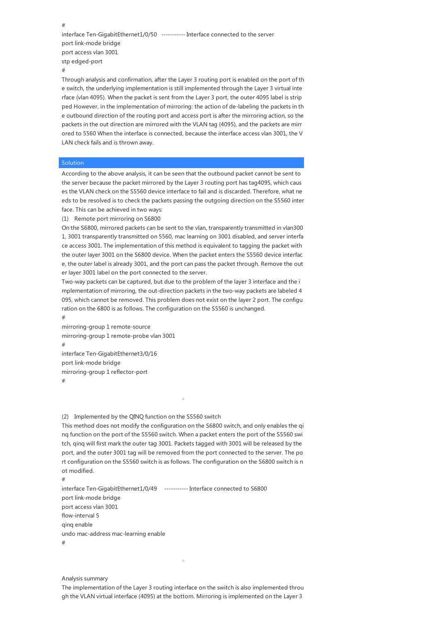interface Ten-GigabitEthernet1/0/50 ----------- Interface connected to the server port link-mode bridge port access vlan 3001 stp edged-port

#

#

Through analysis and confirmation, after the Layer 3 routing port is enabled on the port of th e switch, the underlying implementation is still implemented through the Layer 3 virtual inte rface (vlan 4095). When the packet is sent from the Layer 3 port, the outer 4095 label is strip ped However, in the implementation of mirroring: the action of de-labeling the packets in th e outbound direction of the routing port and access port is after the mirroring action, so the packets in the out direction are mirrored with the VLAN tag (4095), and the packets are mirr ored to 5560 When the interface is connected, because the interface access vlan 3001, the V LAN check fails and is thrown away.

### **Solution**

According to the above analysis, it can be seen that the outbound packet cannot be sent to the server because the packet mirrored by the Layer 3 routing port has tag4095, which caus es the VLAN check on the S5560 device interface to fail and is discarded. Therefore, what ne eds to be resolved is to check the packets passing the outgoing direction on the S5560 inter face. This can be achieved in two ways:

(1) Remote port mirroring on S6800

On the S6800, mirrored packets can be sent to the vlan, transparently transmitted in vlan300 1, 3001 transparently transmitted on 5560, mac learning on 3001 disabled, and server interfa ce access 3001. The implementation of this method is equivalent to tagging the packet with the outer layer 3001 on the S6800 device. When the packet enters the S5560 device interfac e, the outer label is already 3001, and the port can pass the packet through. Remove the out er layer 3001 label on the port connected to the server.

Two-way packets can be captured, but due to the problem of the layer 3 interface and the i mplementation of mirroring, the out-direction packets in the two-way packets are labeled 4 095, which cannot be removed. This problem does not exist on the layer 2 port. The configu ration on the 6800 is as follows. The configuration on the S5560 is unchanged.

mirroring-group 1 remote-source mirroring-group 1 remote-probe vlan 3001 # interface Ten-GigabitEthernet3/0/16 port link-mode bridge mirroring-group 1 reflector-port

#

#

(2) Implemented by the QINQ function on the S5560 switch

This method does not modify the configuration on the S6800 switch, and only enables the qi nq function on the port of the S5560 switch. When a packet enters the port of the S5560 swi tch, qinq will first mark the outer tag 3001. Packets tagged with 3001 will be released by the port, and the outer 3001 tag will be removed from the port connected to the server. The po rt configuration on the S5560 switch is as follows. The configuration on the S6800 switch is n ot modified.

#

interface Ten-GigabitEthernet1/0/49 ----------- Interface connected to S6800 port link-mode bridge port access vlan 3001 flow-interval 5 qinq enable undo mac-address mac-learning enable #

#### Analysis summary

The implementation of the Layer 3 routing interface on the switch is also implemented throu gh the VLAN virtual interface (4095) at the bottom. Mirroring is implemented on the Layer 3

 $\alpha$